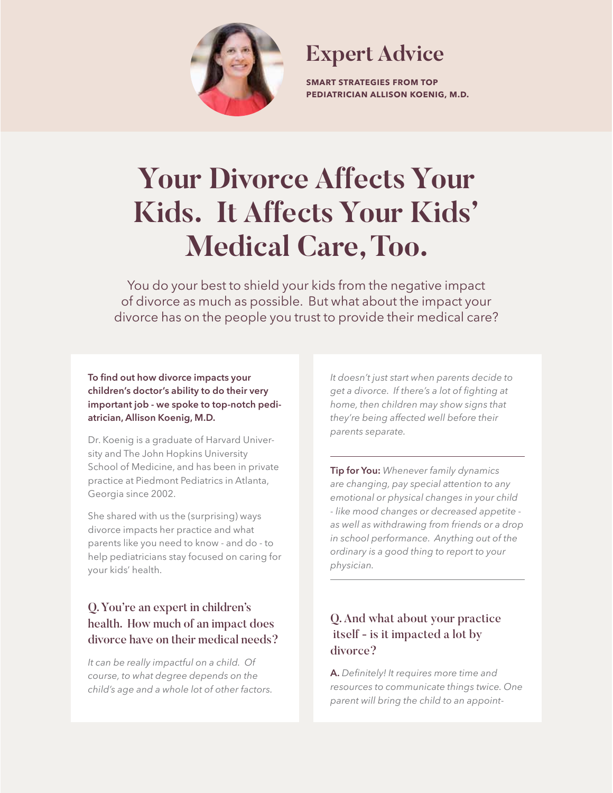

# **Expert Advice**

**SMART STRATEGIES FROM TOP PEDIATRICIAN ALLISON KOENIG, M.D.**

# **Your Divorce Affects Your Kids. It Affects Your Kids' Medical Care, Too.**

You do your best to shield your kids from the negative impact of divorce as much as possible. But what about the impact your divorce has on the people you trust to provide their medical care?

**To find out how divorce impacts your children's doctor's ability to do their very important job - we spoke to top-notch pediatrician, Allison Koenig, M.D.** 

Dr. Koenig is a graduate of Harvard University and The John Hopkins University School of Medicine, and has been in private practice at Piedmont Pediatrics in Atlanta, Georgia since 2002.

She shared with us the (surprising) ways divorce impacts her practice and what parents like you need to know - and do - to help pediatricians stay focused on caring for your kids' health.

## Q. You're an expert in children's health. How much of an impact does divorce have on their medical needs?

*It can be really impactful on a child. Of course, to what degree depends on the child's age and a whole lot of other factors.* 

*It doesn't just start when parents decide to get a divorce. If there's a lot of fighting at home, then children may show signs that they're being affected well before their parents separate.* 

**Tip for You:** *Whenever family dynamics are changing, pay special attention to any emotional or physical changes in your child - like mood changes or decreased appetite as well as withdrawing from friends or a drop in school performance. Anything out of the ordinary is a good thing to report to your physician.* 

# Q. And what about your practice itself - is it impacted a lot by divorce?

**A.** *Definitely! It requires more time and resources to communicate things twice. One parent will bring the child to an appoint-*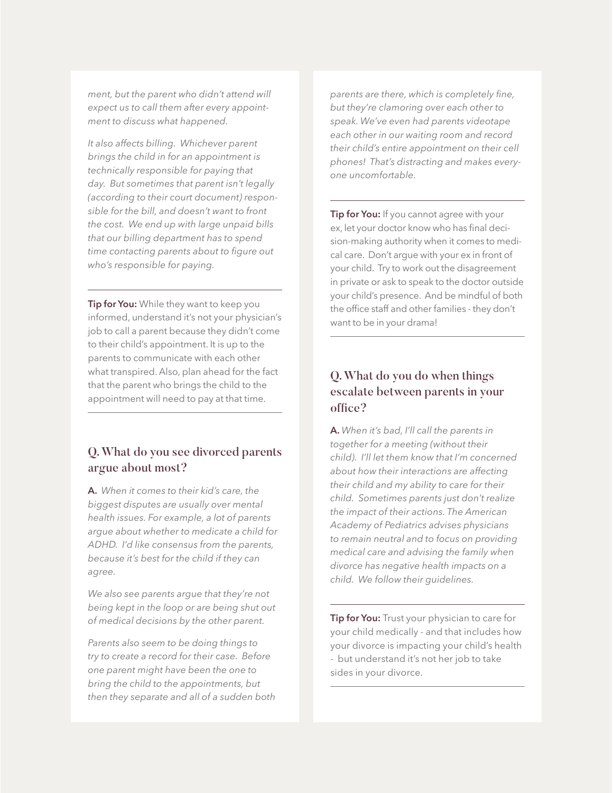*ment, but the parent who didn't attend will expect us to call them after every appointment to discuss what happened.* 

*It also affects billing. Whichever parent brings the child in for an appointment is technically responsible for paying that day. But sometimes that parent isn't legally (according to their court document) responsible for the bill, and doesn't want to front the cost. We end up with large unpaid bills that our billing department has to spend time contacting parents about to figure out who's responsible for paying.*

**Tip for You:** While they want to keep you informed, understand it's not your physician's job to call a parent because they didn't come to their child's appointment. It is up to the parents to communicate with each other what transpired. Also, plan ahead for the fact that the parent who brings the child to the appointment will need to pay at that time.

#### Q. What do you see divorced parents argue about most?

**A.** *When it comes to their kid's care, the biggest disputes are usually over mental health issues. For example, a lot of parents argue about whether to medicate a child for ADHD. I'd like consensus from the parents, because it's best for the child if they can agree.* 

*We also see parents argue that they're not being kept in the loop or are being shut out of medical decisions by the other parent.* 

*Parents also seem to be doing things to try to create a record for their case. Before one parent might have been the one to bring the child to the appointments, but then they separate and all of a sudden both* 

*parents are there, which is completely fine, but they're clamoring over each other to speak. We've even had parents videotape each other in our waiting room and record their child's entire appointment on their cell phones! That's distracting and makes everyone uncomfortable.* 

**Tip for You:** If you cannot agree with your ex, let your doctor know who has final decision-making authority when it comes to medical care. Don't argue with your ex in front of your child. Try to work out the disagreement in private or ask to speak to the doctor outside your child's presence. And be mindful of both the office staff and other families - they don't want to be in your drama!

#### Q. What do you do when things escalate between parents in your office?

**A.** *When it's bad, I'll call the parents in together for a meeting (without their child). I'll let them know that I'm concerned about how their interactions are affecting their child and my ability to care for their child. Sometimes parents just don't realize the impact of their actions. The American Academy of Pediatrics advises physicians to remain neutral and to focus on providing medical care and advising the family when divorce has negative health impacts on a child. We follow their guidelines.*

**Tip for You:** Trust your physician to care for your child medically - and that includes how your divorce is impacting your child's health - but understand it's not her job to take sides in your divorce.